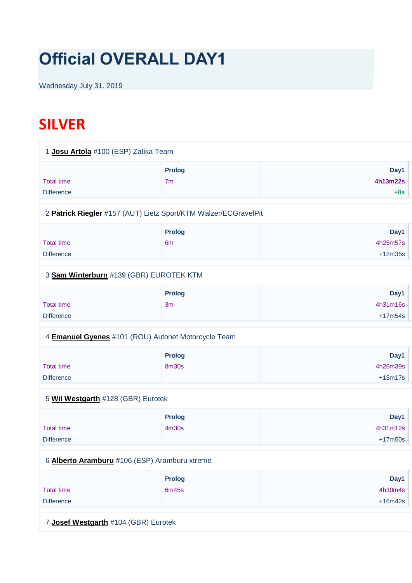# **Official OVERALL DAY1**

Wednesday July 31. 2019

## **SILVER**

| 1 Josu Artola #100 (ESP) Zatika Team                            |                                 |                               |
|-----------------------------------------------------------------|---------------------------------|-------------------------------|
| <b>Total time</b><br><b>Difference</b>                          | <b>Prolog</b><br>7 <sub>m</sub> | Day1<br>4h13m22s<br>$+0s$     |
| 2 Patrick Riegler #157 (AUT) Lietz Sport/KTM Walzer/ECGravelPit |                                 |                               |
| <b>Total time</b><br><b>Difference</b>                          | <b>Prolog</b><br>6 <sub>m</sub> | Day1<br>4h25m57s<br>$+12m35s$ |
| 3 Sam Winterburn #139 (GBR) EUROTEK KTM                         |                                 |                               |
| <b>Total time</b><br><b>Difference</b>                          | <b>Prolog</b><br>3 <sub>m</sub> | Day1<br>4h31m16s<br>$+17m54s$ |
| 4 <b>Emanuel Gyenes</b> #101 (ROU) Autonet Motorcycle Team      |                                 |                               |
| <b>Total time</b><br><b>Difference</b>                          | Prolog<br><b>8m30s</b>          | Day1<br>4h26m39s<br>$+13m17s$ |
| 5 Wil Westgarth #128 (GBR) Eurotek                              |                                 |                               |
| <b>Total time</b><br><b>Difference</b>                          | <b>Prolog</b><br>4m30s          | Day1<br>4h31m12s<br>$+17m50s$ |
| 6 Alberto Aramburu #106 (ESP) Aramburu xtreme                   |                                 |                               |
| <b>Total time</b><br><b>Difference</b>                          | Prolog<br>6m45s                 | Day1<br>4h30m4s<br>$+16m42s$  |
| 7 Josef Westgarth #104 (GBR) Eurotek                            |                                 |                               |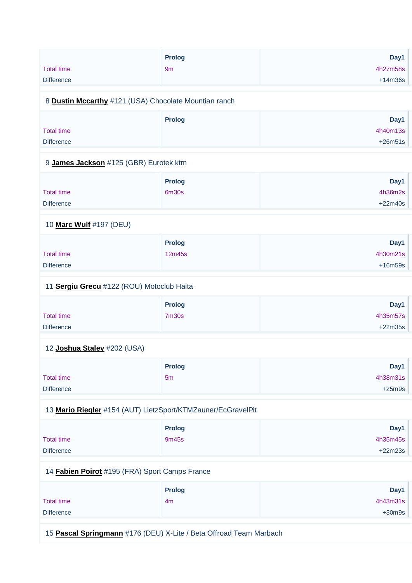|                   | <b>Prolog</b> | Day1      |
|-------------------|---------------|-----------|
| <b>Total time</b> | 9m            | 4h27m58s  |
| <b>Difference</b> |               | $+14m36s$ |
|                   |               |           |
|                   |               |           |

#### 8 **[Dustin Mccarthy](https://www.redbullromaniacs.com/for-competitors/profile/?e=rbr2019&b=121)** #121 (USA) Chocolate Mountian ranch

|                   | Prolog | Day1      |
|-------------------|--------|-----------|
| <b>Total time</b> |        | 4h40m13s  |
| <b>Difference</b> |        | $+26m51s$ |
|                   |        |           |

#### 9 **[James Jackson](https://www.redbullromaniacs.com/for-competitors/profile/?e=rbr2019&b=125)** #125 (GBR) Eurotek ktm

|                   | <b>Prolog</b> | Day1      |
|-------------------|---------------|-----------|
| <b>Total time</b> | 6m30s         | 4h36m2s   |
| <b>Difference</b> |               | $+22m40s$ |

#### 10 **[Marc Wulf](https://www.redbullromaniacs.com/for-competitors/profile/?e=rbr2019&b=197)** #197 (DEU)

|                   | <b>Prolog</b> | Day1      |
|-------------------|---------------|-----------|
| Total time        | 12m45s        | 4h30m21s  |
| <b>Difference</b> |               | $+16m59s$ |

#### 11 **[Sergiu Grecu](https://www.redbullromaniacs.com/for-competitors/profile/?e=rbr2019&b=122)** #122 (ROU) Motoclub Haita

|                   | <b>Prolog</b>     | Day1      |
|-------------------|-------------------|-----------|
| <b>Total time</b> | 7 <sub>m30s</sub> | 4h35m57s  |
| <b>Difference</b> |                   | $+22m35s$ |

#### 12 **[Joshua Staley](https://www.redbullromaniacs.com/for-competitors/profile/?e=rbr2019&b=202)** #202 (USA)

|                   | <b>Prolog</b> | Day1     |
|-------------------|---------------|----------|
| <b>Total time</b> | 5m            | 4h38m31s |
| <b>Difference</b> |               | $+25m9s$ |

#### 13 **[Mario Riegler](https://www.redbullromaniacs.com/for-competitors/profile/?e=rbr2019&b=154)** #154 (AUT) LietzSport/KTMZauner/EcGravelPit

|                   | <b>Prolog</b> | Day1      |
|-------------------|---------------|-----------|
| <b>Total time</b> | 9m45s         | 4h35m45s  |
| <b>Difference</b> |               | $+22m23s$ |

#### 14 **[Fabien Poirot](https://www.redbullromaniacs.com/for-competitors/profile/?e=rbr2019&b=195)** #195 (FRA) Sport Camps France

| <b>Prolog</b> | Day1     |
|---------------|----------|
| 4m            | 4h43m31s |
|               | $+30m9s$ |
|               |          |

15 **[Pascal Springmann](https://www.redbullromaniacs.com/for-competitors/profile/?e=rbr2019&b=176)** #176 (DEU) X-Lite / Beta Offroad Team Marbach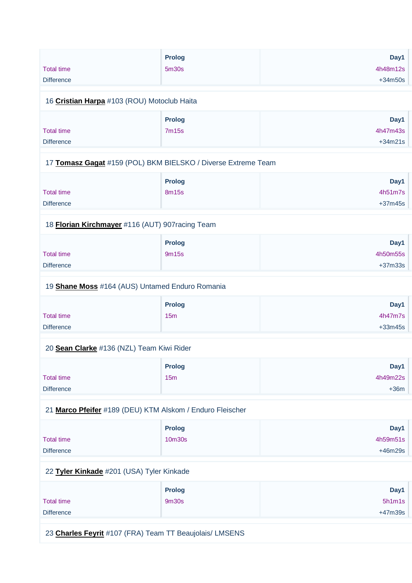|                   | Prolog                                                        | Day1      |
|-------------------|---------------------------------------------------------------|-----------|
| <b>Total time</b> | 5m30s                                                         | 4h48m12s  |
| <b>Difference</b> |                                                               | $+34m50s$ |
|                   | 16 Cristian Harpa #103 (ROU) Motoclub Haita                   |           |
|                   | Prolog                                                        | Day1      |
| <b>Total time</b> | 7m15s                                                         | 4h47m43s  |
| <b>Difference</b> |                                                               | $+34m21s$ |
|                   |                                                               |           |
|                   | 17 Tomasz Gagat #159 (POL) BKM BIELSKO / Diverse Extreme Team |           |
|                   | Prolog                                                        | Day1      |
| <b>Total time</b> | 8m15s                                                         | 4h51m7s   |
| <b>Difference</b> |                                                               | $+37m45s$ |
|                   | 18 Florian Kirchmayer #116 (AUT) 907racing Team               |           |
|                   | Prolog                                                        | Day1      |
| <b>Total time</b> | 9m15s                                                         | 4h50m55s  |
| <b>Difference</b> |                                                               | $+37m33s$ |
|                   | 19 Shane Moss #164 (AUS) Untamed Enduro Romania               |           |
|                   | <b>Prolog</b>                                                 | Day1      |
| <b>Total time</b> | 15m                                                           | 4h47m7s   |
| <b>Difference</b> |                                                               | $+33m45s$ |
|                   | 20 Sean Clarke #136 (NZL) Team Kiwi Rider                     |           |
|                   | <b>Prolog</b>                                                 | Day1      |
| <b>Total time</b> | 15m                                                           | 4h49m22s  |
| <b>Difference</b> |                                                               | $+36m$    |
|                   | 21 Marco Pfeifer #189 (DEU) KTM Alskom / Enduro Fleischer     |           |
|                   | <b>Prolog</b>                                                 | Day1      |
| <b>Total time</b> | 10m30s                                                        | 4h59m51s  |
| <b>Difference</b> |                                                               | $+46m29s$ |
|                   |                                                               |           |

### 22 **[Tyler Kinkade](https://www.redbullromaniacs.com/for-competitors/profile/?e=rbr2019&b=201)** #201 (USA) Tyler Kinkade

|                   | <b>Prolog</b> | Day1      |
|-------------------|---------------|-----------|
| <b>Total time</b> | 9m30s         | 5h1m1s    |
| <b>Difference</b> |               | $+47m39s$ |

23 **[Charles Feyrit](https://www.redbullromaniacs.com/for-competitors/profile/?e=rbr2019&b=107)** #107 (FRA) Team TT Beaujolais/ LMSENS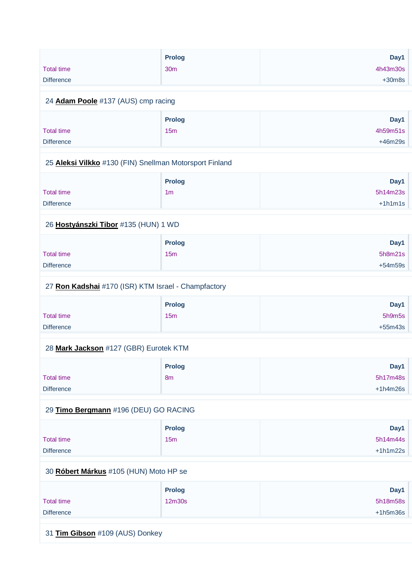|                   | <b>Prolog</b>   | Day1     |
|-------------------|-----------------|----------|
| <b>Total time</b> | 30 <sub>m</sub> | 4h43m30s |
| <b>Difference</b> |                 | $+30m8s$ |

#### 24 **[Adam Poole](https://www.redbullromaniacs.com/for-competitors/profile/?e=rbr2019&b=137)** #137 (AUS) cmp racing

|                   | <b>Prolog</b> | Day1      |
|-------------------|---------------|-----------|
| <b>Total time</b> | 15m           | 4h59m51s  |
| <b>Difference</b> |               | $+46m29s$ |

#### 25 **[Aleksi Vilkko](https://www.redbullromaniacs.com/for-competitors/profile/?e=rbr2019&b=130)** #130 (FIN) Snellman Motorsport Finland

|                   | <b>Prolog</b>  | Day1      |
|-------------------|----------------|-----------|
| <b>Total time</b> | 1 <sub>m</sub> | 5h14m23s  |
| <b>Difference</b> |                | $+1h1m1s$ |

#### 26 **[Hostyánszki Tibor](https://www.redbullromaniacs.com/for-competitors/profile/?e=rbr2019&b=135)** #135 (HUN) 1 WD

|                   | <b>Prolog</b> | Day1      |
|-------------------|---------------|-----------|
| <b>Total time</b> | 15m           | 5h8m21s   |
| <b>Difference</b> |               | $+54m59s$ |

#### 27 **[Ron Kadshai](https://www.redbullromaniacs.com/for-competitors/profile/?e=rbr2019&b=170)** #170 (ISR) KTM Israel - Champfactory

|                   | Prolog | Day1      |
|-------------------|--------|-----------|
| <b>Total time</b> | 15m    | 5h9m5s    |
| <b>Difference</b> |        | $+55m43s$ |

#### 28 **[Mark Jackson](https://www.redbullromaniacs.com/for-competitors/profile/?e=rbr2019&b=127)** #127 (GBR) Eurotek KTM

|                   | <b>Prolog</b>  | Day1       |
|-------------------|----------------|------------|
| <b>Total time</b> | 8 <sub>m</sub> | 5h17m48s   |
| <b>Difference</b> |                | $+1h4m26s$ |

#### 29 **[Timo Bergmann](https://www.redbullromaniacs.com/for-competitors/profile/?e=rbr2019&b=196)** #196 (DEU) GO RACING

|                   | <b>Prolog</b> | Day1       |
|-------------------|---------------|------------|
| <b>Total time</b> | 15m           | 5h14m44s   |
| <b>Difference</b> |               | $+1h1m22s$ |

#### 30 **[Róbert Márkus](https://www.redbullromaniacs.com/for-competitors/profile/?e=rbr2019&b=105)** #105 (HUN) Moto HP se

|                   | <b>Prolog</b> | Day1       |
|-------------------|---------------|------------|
| <b>Total time</b> | 12m30s        | 5h18m58s   |
| <b>Difference</b> |               | $+1h5m36s$ |

31 **[Tim Gibson](https://www.redbullromaniacs.com/for-competitors/profile/?e=rbr2019&b=109)** #109 (AUS) Donkey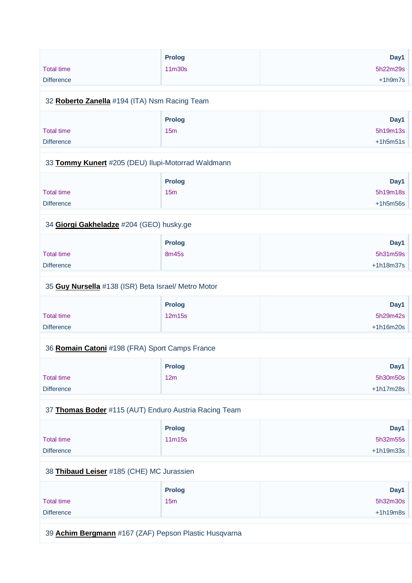|                                                       | <b>Prolog</b> | Day1        |
|-------------------------------------------------------|---------------|-------------|
| <b>Total time</b>                                     | 11m30s        | 5h22m29s    |
| <b>Difference</b>                                     |               | $+1h9m7s$   |
|                                                       |               |             |
| 32 Roberto Zanella #194 (ITA) Nsm Racing Team         |               |             |
|                                                       | <b>Prolog</b> | Day1        |
| <b>Total time</b>                                     | 15m           | 5h19m13s    |
| <b>Difference</b>                                     |               | $+1h5m51s$  |
| 33 Tommy Kunert #205 (DEU) Ilupi-Motorrad Waldmann    |               |             |
|                                                       |               |             |
|                                                       | Prolog        | Day1        |
| <b>Total time</b>                                     | 15m           | 5h19m18s    |
| <b>Difference</b>                                     |               | $+1h5m56s$  |
|                                                       |               |             |
| 34 Giorgi Gakheladze #204 (GEO) husky.ge              |               |             |
|                                                       | <b>Prolog</b> | Day1        |
| <b>Total time</b>                                     | 8m45s         | 5h31m59s    |
| <b>Difference</b>                                     |               | $+1h18m37s$ |
|                                                       |               |             |
| 35 Guy Nursella #138 (ISR) Beta Israel/ Metro Motor   |               |             |
|                                                       | <b>Prolog</b> | Day1        |
| <b>Total time</b>                                     | 12m15s        | 5h29m42s    |
| <b>Difference</b>                                     |               | $+1h16m20s$ |
|                                                       |               |             |
| 36 Romain Catoni #198 (FRA) Sport Camps France        |               |             |
|                                                       | <b>Prolog</b> | Day1        |
| <b>Total time</b>                                     | 12m           | 5h30m50s    |
| <b>Difference</b>                                     |               | $+1h17m28s$ |
| 37 Thomas Boder #115 (AUT) Enduro Austria Racing Team |               |             |
|                                                       |               |             |
|                                                       | <b>Prolog</b> | Day1        |
| <b>Total time</b>                                     | 11m15s        | 5h32m55s    |
| <b>Difference</b>                                     |               | +1h19m33s   |
| 38 Thibaud Leiser #185 (CHE) MC Jurassien             |               |             |
|                                                       | <b>Prolog</b> | Day1        |
| <b>Total time</b>                                     | 15m           | 5h32m30s    |
| <b>Difference</b>                                     |               | $+1h19m8s$  |
|                                                       |               |             |
|                                                       |               |             |

39 **[Achim Bergmann](https://www.redbullromaniacs.com/for-competitors/profile/?e=rbr2019&b=167)** #167 (ZAF) Pepson Plastic Husqvarna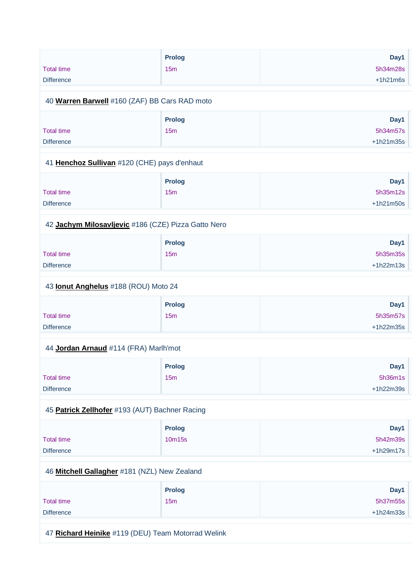|                                                     | Prolog          | Day1        |
|-----------------------------------------------------|-----------------|-------------|
| <b>Total time</b>                                   | 15m             | 5h34m28s    |
| <b>Difference</b>                                   |                 | $+1h21m6s$  |
|                                                     |                 |             |
| 40 Warren Barwell #160 (ZAF) BB Cars RAD moto       |                 |             |
|                                                     | <b>Prolog</b>   | Day1        |
| <b>Total time</b>                                   | 15m             | 5h34m57s    |
| <b>Difference</b>                                   |                 | +1h21m35s   |
| 41 Henchoz Sullivan #120 (CHE) pays d'enhaut        |                 |             |
|                                                     | Prolog          | Day1        |
| <b>Total time</b>                                   | 15m             | 5h35m12s    |
| <b>Difference</b>                                   |                 |             |
|                                                     |                 | +1h21m50s   |
| 42 Jachym Milosavljevic #186 (CZE) Pizza Gatto Nero |                 |             |
|                                                     | <b>Prolog</b>   | Day1        |
| <b>Total time</b>                                   | 15 <sub>m</sub> | 5h35m35s    |
| <b>Difference</b>                                   |                 | $+1h22m13s$ |
|                                                     |                 |             |
| 43 <b>Ionut Anghelus</b> #188 (ROU) Moto 24         |                 |             |
|                                                     | Prolog          | Day1        |
| <b>Total time</b>                                   | 15m             | 5h35m57s    |
| <b>Difference</b>                                   |                 | $+1h22m35s$ |
| 44 Jordan Arnaud #114 (FRA) Marlh'mot               |                 |             |
|                                                     | Prolog          | Day1        |
| <b>Total time</b>                                   | 15m             | 5h36m1s     |
|                                                     |                 |             |
| <b>Difference</b>                                   |                 | $+1h22m39s$ |
| 45 Patrick Zellhofer #193 (AUT) Bachner Racing      |                 |             |
|                                                     | Prolog          | Day1        |
| <b>Total time</b>                                   | 10m15s          | 5h42m39s    |
| <b>Difference</b>                                   |                 | $+1h29m17s$ |
|                                                     |                 |             |
| 46 Mitchell Gallagher #181 (NZL) New Zealand        |                 |             |
|                                                     | <b>Prolog</b>   | Day1        |
| <b>Total time</b>                                   | 15m             | 5h37m55s    |
| <b>Difference</b>                                   |                 | $+1h24m33s$ |
|                                                     |                 |             |
|                                                     |                 |             |

47 **[Richard Heinike](https://www.redbullromaniacs.com/for-competitors/profile/?e=rbr2019&b=119)** #119 (DEU) Team Motorrad Welink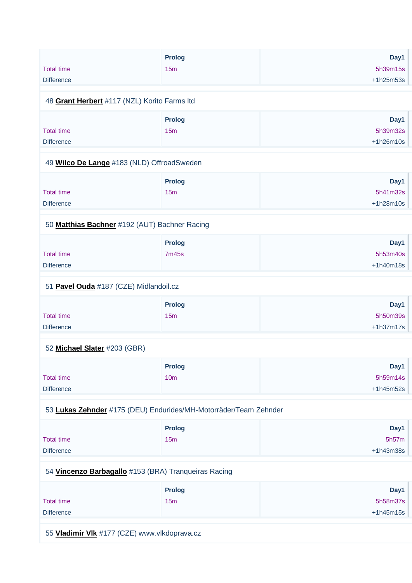|                                              | Prolog | Day1        |
|----------------------------------------------|--------|-------------|
| <b>Total time</b>                            | 15m    | 5h39m15s    |
| <b>Difference</b>                            |        | $+1h25m53s$ |
|                                              |        |             |
| 48 Grant Herbert #117 (NZL) Korito Farms Itd |        |             |

#### 48 **[Grant Herbert](https://www.redbullromaniacs.com/for-competitors/profile/?e=rbr2019&b=117)** #117 (NZL) Korito Farms ltd

|                   | Prolog | Day1        |
|-------------------|--------|-------------|
| <b>Total time</b> | 15m    | 5h39m32s    |
| <b>Difference</b> |        | $+1h26m10s$ |

#### 49 **[Wilco De Lange](https://www.redbullromaniacs.com/for-competitors/profile/?e=rbr2019&b=183)** #183 (NLD) OffroadSweden

|                   | <b>Prolog</b> | Day1        |
|-------------------|---------------|-------------|
| <b>Total time</b> | 15m           | 5h41m32s    |
| <b>Difference</b> |               | $+1h28m10s$ |

#### 50 **[Matthias Bachner](https://www.redbullromaniacs.com/for-competitors/profile/?e=rbr2019&b=192)** #192 (AUT) Bachner Racing

|                   | <b>Prolog</b> | Day1        |
|-------------------|---------------|-------------|
| Total time        | 7m45s         | 5h53m40s    |
| <b>Difference</b> |               | $+1h40m18s$ |

#### 51 **[Pavel Ouda](https://www.redbullromaniacs.com/for-competitors/profile/?e=rbr2019&b=187)** #187 (CZE) Midlandoil.cz

|                   | Prolog          | Day1        |
|-------------------|-----------------|-------------|
| <b>Total time</b> | 15 <sub>m</sub> | 5h50m39s    |
| <b>Difference</b> |                 | $+1h37m17s$ |

#### 52 **[Michael Slater](https://www.redbullromaniacs.com/for-competitors/profile/?e=rbr2019&b=203)** #203 (GBR)

|                   | <b>Prolog</b>   | Day1        |
|-------------------|-----------------|-------------|
| <b>Total time</b> | 10 <sub>m</sub> | 5h59m14s    |
| <b>Difference</b> |                 | $+1h45m52s$ |

#### 53 **[Lukas Zehnder](https://www.redbullromaniacs.com/for-competitors/profile/?e=rbr2019&b=175)** #175 (DEU) Endurides/MH-Motorräder/Team Zehnder

|                   | <b>Prolog</b> | Day1        |
|-------------------|---------------|-------------|
| <b>Total time</b> | 15m           | 5h57m       |
| <b>Difference</b> |               | $+1h43m38s$ |

#### 54 **[Vincenzo Barbagallo](https://www.redbullromaniacs.com/for-competitors/profile/?e=rbr2019&b=153)** #153 (BRA) Tranqueiras Racing

|                   | <b>Prolog</b> | Day1        |
|-------------------|---------------|-------------|
| <b>Total time</b> | 15m           | 5h58m37s    |
| <b>Difference</b> |               | $+1h45m15s$ |

55 **[Vladimir Vlk](https://www.redbullromaniacs.com/for-competitors/profile/?e=rbr2019&b=177)** #177 (CZE) www.vlkdoprava.cz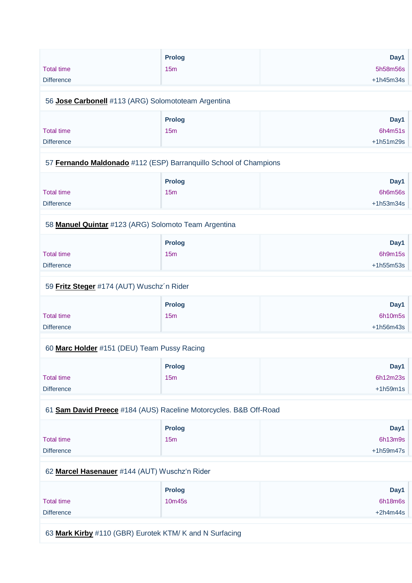|                   | Prolog | Day1        |
|-------------------|--------|-------------|
| <b>Total time</b> | 15m    | 5h58m56s    |
| <b>Difference</b> |        | $+1h45m34s$ |
|                   |        |             |

#### 56 **[Jose Carbonell](https://www.redbullromaniacs.com/for-competitors/profile/?e=rbr2019&b=113)** #113 (ARG) Solomototeam Argentina

|                   | <b>Prolog</b> | Day1        |
|-------------------|---------------|-------------|
| <b>Total time</b> | 15m           | 6h4m51s     |
| <b>Difference</b> |               | $+1h51m29s$ |

#### 57 **[Fernando Maldonado](https://www.redbullromaniacs.com/for-competitors/profile/?e=rbr2019&b=112)** #112 (ESP) Barranquillo School of Champions

|                   | <b>Prolog</b> | Day1        |
|-------------------|---------------|-------------|
| <b>Total time</b> | 15m           | 6h6m56s     |
| <b>Difference</b> |               | $+1h53m34s$ |

#### 58 **[Manuel Quintar](https://www.redbullromaniacs.com/for-competitors/profile/?e=rbr2019&b=123)** #123 (ARG) Solomoto Team Argentina

|                   | <b>Prolog</b> | Day1        |
|-------------------|---------------|-------------|
| <b>Total time</b> | 15m           | 6h9m15s     |
| <b>Difference</b> |               | $+1h55m53s$ |

#### 59 **[Fritz Steger](https://www.redbullromaniacs.com/for-competitors/profile/?e=rbr2019&b=174)** #174 (AUT) Wuschz´n Rider

|                   | <b>Prolog</b> | Day1        |
|-------------------|---------------|-------------|
| <b>Total time</b> | 15m           | 6h10m5s     |
| <b>Difference</b> |               | $+1h56m43s$ |

#### 60 **[Marc Holder](https://www.redbullromaniacs.com/for-competitors/profile/?e=rbr2019&b=151)** #151 (DEU) Team Pussy Racing

|                   | Prolog | Day1       |
|-------------------|--------|------------|
| Total time        | 15m    | 6h12m23s   |
| <b>Difference</b> |        | $+1h59m1s$ |

#### 61 **[Sam David Preece](https://www.redbullromaniacs.com/for-competitors/profile/?e=rbr2019&b=184)** #184 (AUS) Raceline Motorcycles. B&B Off-Road

|                   | <b>Prolog</b> | Day1        |
|-------------------|---------------|-------------|
| <b>Total time</b> | 15m           | 6h13m9s     |
| <b>Difference</b> |               | $+1h59m47s$ |

#### 62 **[Marcel Hasenauer](https://www.redbullromaniacs.com/for-competitors/profile/?e=rbr2019&b=144)** #144 (AUT) Wuschz'n Rider

|                   | <b>Prolog</b> | Day1       |
|-------------------|---------------|------------|
| <b>Total time</b> | 10m45s        | 6h18m6s    |
| <b>Difference</b> |               | $+2h4m44s$ |

63 **[Mark Kirby](https://www.redbullromaniacs.com/for-competitors/profile/?e=rbr2019&b=110)** #110 (GBR) Eurotek KTM/ K and N Surfacing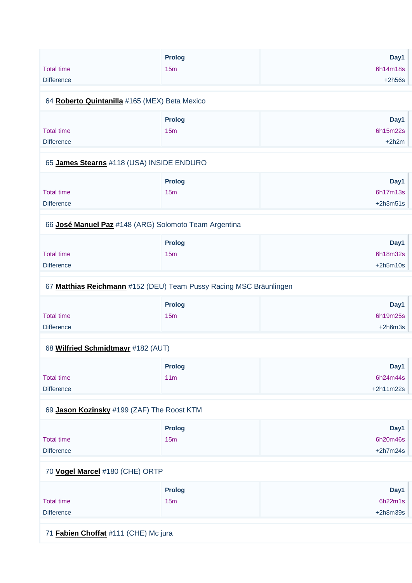| <b>Total time</b><br><b>Difference</b>        | <b>Prolog</b><br>15m             | Day1<br>6h14m18s<br>$+2h56s$ |
|-----------------------------------------------|----------------------------------|------------------------------|
| 64 Roberto Quintanilla #165 (MEX) Beta Mexico |                                  |                              |
| <b>Total time</b><br><b>Difference</b>        | <b>Prolog</b><br>15 <sub>m</sub> | Day1<br>6h15m22s<br>$+2h2m$  |

#### 65 **[James Stearns](https://www.redbullromaniacs.com/for-competitors/profile/?e=rbr2019&b=118)** #118 (USA) INSIDE ENDURO

|                   | <b>Prolog</b> | Day1       |
|-------------------|---------------|------------|
| <b>Total time</b> | 15m           | 6h17m13s   |
| <b>Difference</b> |               | $+2h3m51s$ |

#### 66 **[José Manuel Paz](https://www.redbullromaniacs.com/for-competitors/profile/?e=rbr2019&b=148)** #148 (ARG) Solomoto Team Argentina

|                   | <b>Prolog</b> | Day1       |
|-------------------|---------------|------------|
| <b>Total time</b> | 15m           | 6h18m32s   |
| <b>Difference</b> |               | $+2h5m10s$ |

#### 67 **[Matthias Reichmann](https://www.redbullromaniacs.com/for-competitors/profile/?e=rbr2019&b=152)** #152 (DEU) Team Pussy Racing MSC Bräunlingen

|                   | Prolog          | Day1      |
|-------------------|-----------------|-----------|
| <b>Total time</b> | 15 <sub>m</sub> | 6h19m25s  |
| <b>Difference</b> |                 | $+2h6m3s$ |

#### 68 **[Wilfried Schmidtmayr](https://www.redbullromaniacs.com/for-competitors/profile/?e=rbr2019&b=182)** #182 (AUT)

|                   | <b>Prolog</b>   | Day1        |
|-------------------|-----------------|-------------|
| <b>Total time</b> | 11 <sub>m</sub> | 6h24m44s    |
| <b>Difference</b> |                 | $+2h11m22s$ |

#### 69 **[Jason Kozinsky](https://www.redbullromaniacs.com/for-competitors/profile/?e=rbr2019&b=199)** #199 (ZAF) The Roost KTM

|                   | <b>Prolog</b>   | Day1       |
|-------------------|-----------------|------------|
| <b>Total time</b> | 15 <sub>m</sub> | 6h20m46s   |
| <b>Difference</b> |                 | $+2h7m24s$ |

#### 70 **[Vogel Marcel](https://www.redbullromaniacs.com/for-competitors/profile/?e=rbr2019&b=180)** #180 (CHE) ORTP

|                   | <b>Prolog</b> | Day1       |
|-------------------|---------------|------------|
| <b>Total time</b> | 15m           | 6h22m1s    |
| <b>Difference</b> |               | $+2h8m39s$ |

71 **[Fabien Choffat](https://www.redbullromaniacs.com/for-competitors/profile/?e=rbr2019&b=111)** #111 (CHE) Mc jura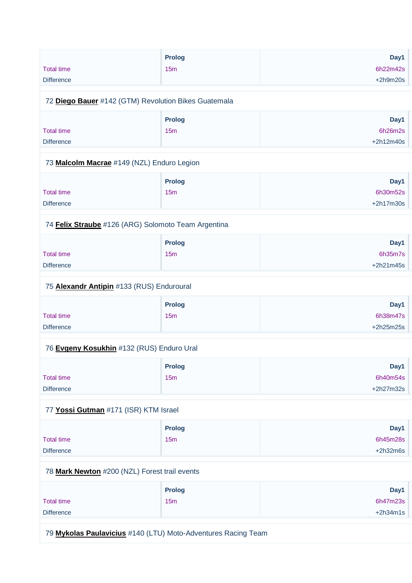|                   | <b>Prolog</b> | Day1       |
|-------------------|---------------|------------|
| <b>Total time</b> | 15m           | 6h22m42s   |
| <b>Difference</b> |               | $+2h9m20s$ |

#### 72 **[Diego Bauer](https://www.redbullromaniacs.com/for-competitors/profile/?e=rbr2019&b=142)** #142 (GTM) Revolution Bikes Guatemala

|                   | Prolog | Day1        |
|-------------------|--------|-------------|
| Total time        | 15m    | 6h26m2s     |
| <b>Difference</b> |        | $+2h12m40s$ |

#### 73 **[Malcolm Macrae](https://www.redbullromaniacs.com/for-competitors/profile/?e=rbr2019&b=149)** #149 (NZL) Enduro Legion

|                   | <b>Prolog</b> | Day1        |
|-------------------|---------------|-------------|
| <b>Total time</b> | 15m           | 6h30m52s    |
| <b>Difference</b> |               | $+2h17m30s$ |

#### 74 **[Felix Straube](https://www.redbullromaniacs.com/for-competitors/profile/?e=rbr2019&b=126)** #126 (ARG) Solomoto Team Argentina

|                   | <b>Prolog</b> | Day1        |
|-------------------|---------------|-------------|
| <b>Total time</b> | 15m           | 6h35m7s     |
| <b>Difference</b> |               | $+2h21m45s$ |

#### 75 **[Alexandr Antipin](https://www.redbullromaniacs.com/for-competitors/profile/?e=rbr2019&b=133)** #133 (RUS) Enduroural

|                   | <b>Prolog</b> | Day1        |
|-------------------|---------------|-------------|
| <b>Total time</b> | 15m           | 6h38m47s    |
| <b>Difference</b> |               | $+2h25m25s$ |

#### 76 **[Evgeny Kosukhin](https://www.redbullromaniacs.com/for-competitors/profile/?e=rbr2019&b=132)** #132 (RUS) Enduro Ural

|                   | <b>Prolog</b> | Day1        |
|-------------------|---------------|-------------|
| <b>Total time</b> | 15m           | 6h40m54s    |
| <b>Difference</b> |               | $+2h27m32s$ |

#### 77 **[Yossi Gutman](https://www.redbullromaniacs.com/for-competitors/profile/?e=rbr2019&b=171)** #171 (ISR) KTM Israel

|                   | Prolog          | Day1       |
|-------------------|-----------------|------------|
| Total time        | 15 <sub>m</sub> | 6h45m28s   |
| <b>Difference</b> |                 | $+2h32m6s$ |

#### 78 **[Mark Newton](https://www.redbullromaniacs.com/for-competitors/profile/?e=rbr2019&b=200)** #200 (NZL) Forest trail events

|                   | <b>Prolog</b> | Day1       |
|-------------------|---------------|------------|
| <b>Total time</b> | 15m           | 6h47m23s   |
| <b>Difference</b> |               | $+2h34m1s$ |

79 **[Mykolas Paulavicius](https://www.redbullromaniacs.com/for-competitors/profile/?e=rbr2019&b=140)** #140 (LTU) Moto-Adventures Racing Team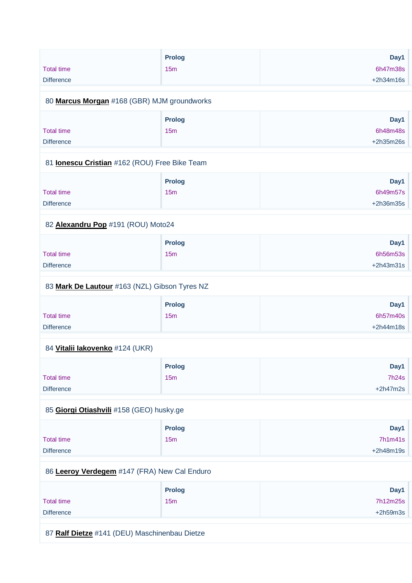|                                             | <b>Prolog</b>   | Day1        |
|---------------------------------------------|-----------------|-------------|
| <b>Total time</b>                           | 15 <sub>m</sub> | 6h47m38s    |
| <b>Difference</b>                           |                 | $+2h34m16s$ |
| 80 Marcus Morgan #168 (GBR) MJM groundworks |                 |             |

|                   | Prolog | Day1        |
|-------------------|--------|-------------|
| <b>Total time</b> | 15m    | 6h48m48s    |
| <b>Difference</b> |        | $+2h35m26s$ |

#### 81 **[Ionescu Cristian](https://www.redbullromaniacs.com/for-competitors/profile/?e=rbr2019&b=162)** #162 (ROU) Free Bike Team

|                   | <b>Prolog</b>   | Day1        |
|-------------------|-----------------|-------------|
| <b>Total time</b> | 15 <sub>m</sub> | 6h49m57s    |
| <b>Difference</b> |                 | $+2h36m35s$ |

#### 82 **[Alexandru Pop](https://www.redbullromaniacs.com/for-competitors/profile/?e=rbr2019&b=191)** #191 (ROU) Moto24

|                   | Prolog          | Day1        |
|-------------------|-----------------|-------------|
| Total time        | 15 <sub>m</sub> | 6h56m53s    |
| <b>Difference</b> |                 | $+2h43m31s$ |

#### 83 **[Mark De Lautour](https://www.redbullromaniacs.com/for-competitors/profile/?e=rbr2019&b=163)** #163 (NZL) Gibson Tyres NZ

|                   | <b>Prolog</b>   | Day1        |
|-------------------|-----------------|-------------|
| <b>Total time</b> | 15 <sub>m</sub> | 6h57m40s    |
| <b>Difference</b> |                 | $+2h44m18s$ |

#### 84 **[Vitalii Iakovenko](https://www.redbullromaniacs.com/for-competitors/profile/?e=rbr2019&b=124)** #124 (UKR)

|                   | <b>Prolog</b> | Day1       |
|-------------------|---------------|------------|
| <b>Total time</b> | 15m           | 7h24s      |
| <b>Difference</b> |               | $+2h47m2s$ |

#### 85 **[Giorgi Otiashvili](https://www.redbullromaniacs.com/for-competitors/profile/?e=rbr2019&b=158)** #158 (GEO) husky.ge

|                   | <b>Prolog</b> | Day1        |
|-------------------|---------------|-------------|
| <b>Total time</b> | 15m           | 7h1m41s     |
| <b>Difference</b> |               | $+2h48m19s$ |

#### 86 **[Leeroy Verdegem](https://www.redbullromaniacs.com/for-competitors/profile/?e=rbr2019&b=147)** #147 (FRA) New Cal Enduro

|                   | <b>Prolog</b> | Day1       |
|-------------------|---------------|------------|
| <b>Total time</b> | 15m           | 7h12m25s   |
| <b>Difference</b> |               | $+2h59m3s$ |

87 **[Ralf Dietze](https://www.redbullromaniacs.com/for-competitors/profile/?e=rbr2019&b=141)** #141 (DEU) Maschinenbau Dietze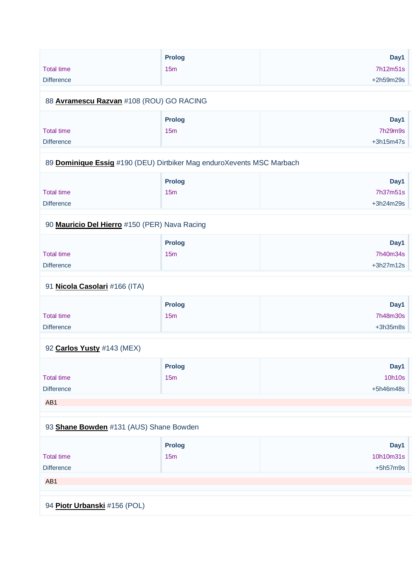|                                                                       | <b>Prolog</b> | Day1        |
|-----------------------------------------------------------------------|---------------|-------------|
| <b>Total time</b>                                                     | 15m           | 7h12m51s    |
| <b>Difference</b>                                                     |               | +2h59m29s   |
|                                                                       |               |             |
| 88 Avramescu Razvan #108 (ROU) GO RACING                              |               |             |
|                                                                       | <b>Prolog</b> | Day1        |
| <b>Total time</b>                                                     | 15m           | 7h29m9s     |
| <b>Difference</b>                                                     |               | $+3h15m47s$ |
|                                                                       |               |             |
| 89 Dominique Essig #190 (DEU) Dirtbiker Mag enduroXevents MSC Marbach |               |             |
|                                                                       | <b>Prolog</b> | Day1        |
| <b>Total time</b>                                                     | 15m           | 7h37m51s    |
| <b>Difference</b>                                                     |               | +3h24m29s   |
| 90 Mauricio Del Hierro #150 (PER) Nava Racing                         |               |             |
|                                                                       | <b>Prolog</b> | Day1        |
| <b>Total time</b>                                                     | 15m           | 7h40m34s    |
| <b>Difference</b>                                                     |               | +3h27m12s   |
|                                                                       |               |             |
| 91 Nicola Casolari #166 (ITA)                                         |               |             |
|                                                                       | <b>Prolog</b> | Day1        |
| <b>Total time</b>                                                     | 15m           | 7h48m30s    |
| <b>Difference</b>                                                     |               | $+3h35m8s$  |
| 92 Carlos Yusty #143 (MEX)                                            |               |             |
|                                                                       | <b>Prolog</b> | Day1        |
| <b>Total time</b>                                                     | 15m           | 10h10s      |
| <b>Difference</b>                                                     |               | +5h46m48s   |
| AB1                                                                   |               |             |
|                                                                       |               |             |
| 93 Shane Bowden #131 (AUS) Shane Bowden                               |               |             |
|                                                                       | <b>Prolog</b> | Day1        |
|                                                                       |               | 10h10m31s   |
| <b>Total time</b>                                                     | 15m           |             |
| <b>Difference</b>                                                     |               | $+5h57m9s$  |
| AB1                                                                   |               |             |
|                                                                       |               |             |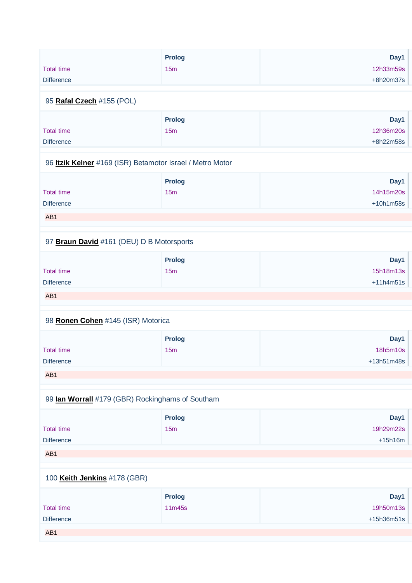|                   | <b>Prolog</b> | Day1        |
|-------------------|---------------|-------------|
| Total time        | 15m           | 12h33m59s   |
| <b>Difference</b> |               | $+8h20m37s$ |
|                   |               |             |

#### 95 **[Rafal Czech](https://www.redbullromaniacs.com/for-competitors/profile/?e=rbr2019&b=155)** #155 (POL)

|                   | <b>Prolog</b> | Day1      |
|-------------------|---------------|-----------|
| Total time        | 15m           | 12h36m20s |
| <b>Difference</b> |               | +8h22m58s |

#### 96 **[Itzik Kelner](https://www.redbullromaniacs.com/for-competitors/profile/?e=rbr2019&b=169)** #169 (ISR) Betamotor Israel / Metro Motor

|                   | <b>Prolog</b> | Day1        |
|-------------------|---------------|-------------|
| Total time        | 15m           | 14h15m20s   |
| <b>Difference</b> |               | $+10h1m58s$ |
| AB <sub>1</sub>   |               |             |

#### 97 **[Braun David](https://www.redbullromaniacs.com/for-competitors/profile/?e=rbr2019&b=161)** #161 (DEU) D B Motorsports

|                   | Prolog | Day1        |
|-------------------|--------|-------------|
| <b>Total time</b> | 15m    | 15h18m13s   |
| <b>Difference</b> |        | $+11h4m51s$ |
| AB <sub>1</sub>   |        |             |

## 98 **[Ronen Cohen](https://www.redbullromaniacs.com/for-competitors/profile/?e=rbr2019&b=145)** #145 (ISR) Motorica

|                   | Prolog | Day1       |
|-------------------|--------|------------|
| <b>Total time</b> | 15m    | 18h5m10s   |
| <b>Difference</b> |        | +13h51m48s |
| AB1               |        |            |

#### 99 **[Ian Worrall](https://www.redbullromaniacs.com/for-competitors/profile/?e=rbr2019&b=179)** #179 (GBR) Rockinghams of Southam

|                   | <b>Prolog</b> | Day1      |
|-------------------|---------------|-----------|
| <b>Total time</b> | 15m           | 19h29m22s |
| <b>Difference</b> |               | $+15h16m$ |
| AB <sub>1</sub>   |               |           |

## 100 **[Keith Jenkins](https://www.redbullromaniacs.com/for-competitors/profile/?e=rbr2019&b=178)** #178 (GBR)

|                   | <b>Prolog</b> | Day1       |
|-------------------|---------------|------------|
| <b>Total time</b> | 11m45s        | 19h50m13s  |
| <b>Difference</b> |               | +15h36m51s |
| AB1               |               |            |